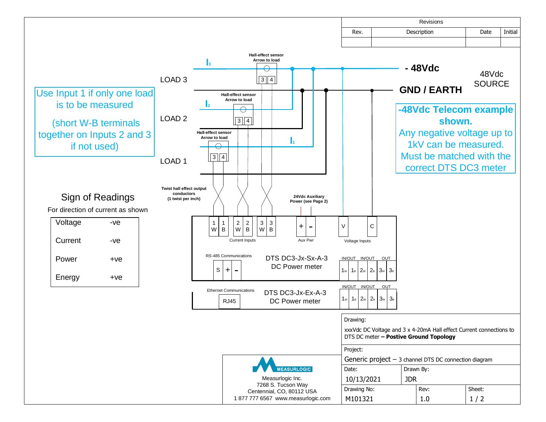